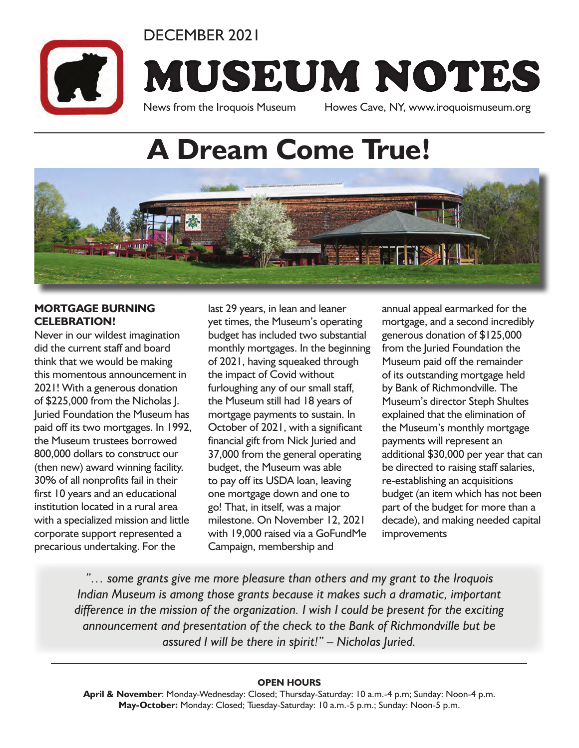DECEMBER 2021

MUSEUM NOTES

News from the Iroquois Museum Howes Cave, NY, www.iroquoismuseum.org

# **A Dream Come True!**



### **MORTGAGE BURNING CELEBRATION!**

Never in our wildest imagination did the current staff and board think that we would be making this momentous announcement in 2021! With a generous donation of \$225,000 from the Nicholas J. Juried Foundation the Museum has paid off its two mortgages. In 1992, the Museum trustees borrowed 800,000 dollars to construct our (then new) award winning facility. 30% of all nonprofits fail in their first 10 years and an educational institution located in a rural area with a specialized mission and little corporate support represented a precarious undertaking. For the

last 29 years, in lean and leaner yet times, the Museum's operating budget has included two substantial monthly mortgages. In the beginning of 2021, having squeaked through the impact of Covid without furloughing any of our small staff, the Museum still had 18 years of mortgage payments to sustain. In October of 2021, with a significant financial gift from Nick Juried and 37,000 from the general operating budget, the Museum was able to pay off its USDA loan, leaving one mortgage down and one to go! That, in itself, was a major milestone. On November 12, 2021 with 19,000 raised via a GoFundMe Campaign, membership and

annual appeal earmarked for the mortgage, and a second incredibly generous donation of \$125,000 from the Juried Foundation the Museum paid off the remainder of its outstanding mortgage held by Bank of Richmondville. The Museum's director Steph Shultes explained that the elimination of the Museum's monthly mortgage payments will represent an additional \$30,000 per year that can be directed to raising staff salaries, re-establishing an acquisitions budget (an item which has not been part of the budget for more than a decade), and making needed capital improvements

*"… some grants give me more pleasure than others and my grant to the Iroquois Indian Museum is among those grants because it makes such a dramatic, important difference in the mission of the organization. I wish I could be present for the exciting announcement and presentation of the check to the Bank of Richmondville but be assured I will be there in spirit!" – Nicholas Juried.* 

#### **OPEN HOURS**

**April & November**: Monday-Wednesday: Closed; Thursday-Saturday: 10 a.m.-4 p.m; Sunday: Noon-4 p.m. **May-October:** Monday: Closed; Tuesday-Saturday: 10 a.m.-5 p.m.; Sunday: Noon-5 p.m.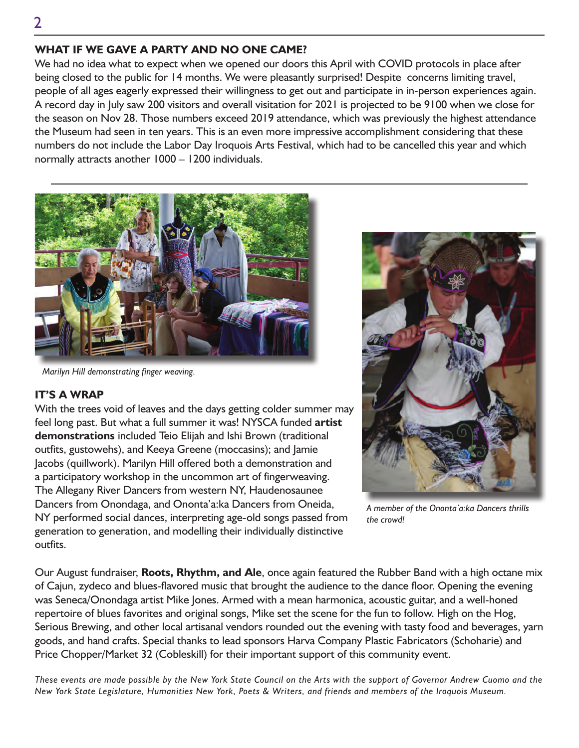## **WHAT IF WE GAVE A PARTY AND NO ONE CAME?**

We had no idea what to expect when we opened our doors this April with COVID protocols in place after being closed to the public for 14 months. We were pleasantly surprised! Despite concerns limiting travel, people of all ages eagerly expressed their willingness to get out and participate in in-person experiences again. A record day in July saw 200 visitors and overall visitation for 2021 is projected to be 9100 when we close for the season on Nov 28. Those numbers exceed 2019 attendance, which was previously the highest attendance the Museum had seen in ten years. This is an even more impressive accomplishment considering that these numbers do not include the Labor Day Iroquois Arts Festival, which had to be cancelled this year and which normally attracts another 1000 – 1200 individuals.



*Marilyn Hill demonstrating finger weaving.*

### **IT'S A WRAP**

With the trees void of leaves and the days getting colder summer may feel long past. But what a full summer it was! NYSCA funded **artist demonstrations** included Teio Elijah and Ishi Brown (traditional outfits, gustowehs), and Keeya Greene (moccasins); and Jamie Jacobs (quillwork). Marilyn Hill offered both a demonstration and a participatory workshop in the uncommon art of fingerweaving. The Allegany River Dancers from western NY, Haudenosaunee Dancers from Onondaga, and Ononta'a:ka Dancers from Oneida, NY performed social dances, interpreting age-old songs passed from generation to generation, and modelling their individually distinctive outfits.



*A member of the Ononta'a:ka Dancers thrills the crowd!*

Our August fundraiser, **Roots, Rhythm, and Ale**, once again featured the Rubber Band with a high octane mix of Cajun, zydeco and blues-flavored music that brought the audience to the dance floor. Opening the evening was Seneca/Onondaga artist Mike Jones. Armed with a mean harmonica, acoustic guitar, and a well-honed repertoire of blues favorites and original songs, Mike set the scene for the fun to follow. High on the Hog, Serious Brewing, and other local artisanal vendors rounded out the evening with tasty food and beverages, yarn goods, and hand crafts. Special thanks to lead sponsors Harva Company Plastic Fabricators (Schoharie) and Price Chopper/Market 32 (Cobleskill) for their important support of this community event.

*These events are made possible by the New York State Council on the Arts with the support of Governor Andrew Cuomo and the New York State Legislature, Humanities New York, Poets & Writers, and friends and members of the Iroquois Museum.*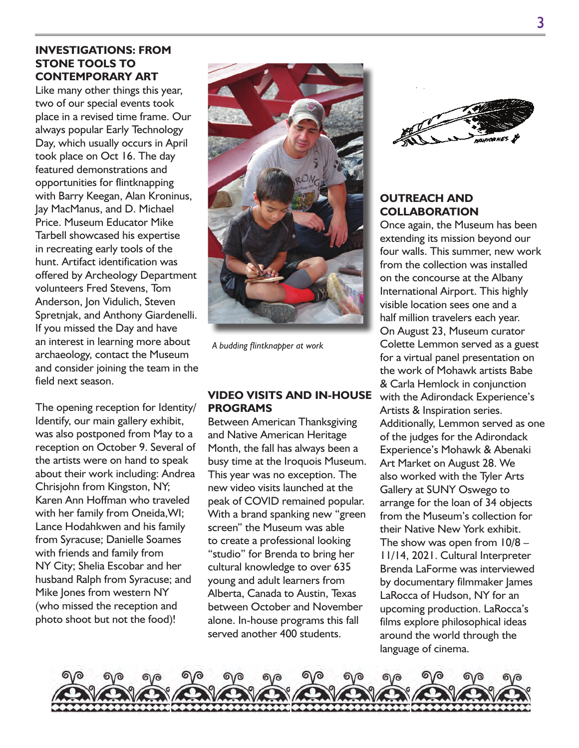## **INVESTIGATIONS: FROM STONE TOOLS TO CONTEMPORARY ART**

Like many other things this year, two of our special events took place in a revised time frame. Our always popular Early Technology Day, which usually occurs in April took place on Oct 16. The day featured demonstrations and opportunities for flintknapping with Barry Keegan, Alan Kroninus, Jay MacManus, and D. Michael Price. Museum Educator Mike Tarbell showcased his expertise in recreating early tools of the hunt. Artifact identification was offered by Archeology Department volunteers Fred Stevens, Tom Anderson, Jon Vidulich, Steven Spretnjak, and Anthony Giardenelli. If you missed the Day and have an interest in learning more about archaeology, contact the Museum and consider joining the team in the field next season.

The opening reception for Identity/ Identify, our main gallery exhibit, was also postponed from May to a reception on October 9. Several of the artists were on hand to speak about their work including: Andrea Chrisjohn from Kingston, NY; Karen Ann Hoffman who traveled with her family from Oneida,WI; Lance Hodahkwen and his family from Syracuse; Danielle Soames with friends and family from NY City; Shelia Escobar and her husband Ralph from Syracuse; and Mike Jones from western NY (who missed the reception and photo shoot but not the food)!



*A budding flintknapper at work*

#### **VIDEO VISITS AND IN-HOUSE PROGRAMS**

Between American Thanksgiving and Native American Heritage Month, the fall has always been a busy time at the Iroquois Museum. This year was no exception. The new video visits launched at the peak of COVID remained popular. With a brand spanking new "green screen" the Museum was able to create a professional looking "studio" for Brenda to bring her cultural knowledge to over 635 young and adult learners from Alberta, Canada to Austin, Texas between October and November alone. In-house programs this fall served another 400 students.



## **OUTREACH AND COLLABORATION**

Once again, the Museum has been extending its mission beyond our four walls. This summer, new work from the collection was installed on the concourse at the Albany International Airport. This highly visible location sees one and a half million travelers each year. On August 23, Museum curator Colette Lemmon served as a guest for a virtual panel presentation on the work of Mohawk artists Babe & Carla Hemlock in conjunction with the Adirondack Experience's Artists & Inspiration series. Additionally, Lemmon served as one of the judges for the Adirondack Experience's Mohawk & Abenaki Art Market on August 28. We also worked with the Tyler Arts Gallery at SUNY Oswego to arrange for the loan of 34 objects from the Museum's collection for their Native New York exhibit. The show was open from  $10/8 -$ 11/14, 2021. Cultural Interpreter Brenda LaForme was interviewed by documentary filmmaker James LaRocca of Hudson, NY for an upcoming production. LaRocca's films explore philosophical ideas around the world through the language of cinema.

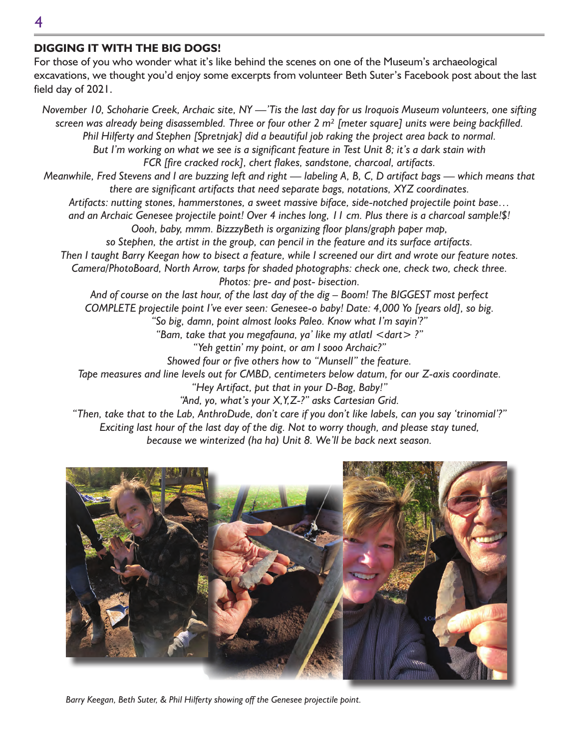### **DIGGING IT WITH THE BIG DOGS!**

For those of you who wonder what it's like behind the scenes on one of the Museum's archaeological excavations, we thought you'd enjoy some excerpts from volunteer Beth Suter's Facebook post about the last field day of 2021.

*November 10, Schoharie Creek, Archaic site, NY —'Tis the last day for us Iroquois Museum volunteers, one sifting screen was already being disassembled. Three or four other 2 m² [meter square] units were being backfilled. Phil Hilferty and Stephen [Spretnjak] did a beautiful job raking the project area back to normal. But I'm working on what we see is a significant feature in Test Unit 8; it's a dark stain with FCR [fire cracked rock], chert flakes, sandstone, charcoal, artifacts. Meanwhile, Fred Stevens and I are buzzing left and right — labeling A, B, C, D artifact bags — which means that there are significant artifacts that need separate bags, notations, XYZ coordinates. Artifacts: nutting stones, hammerstones, a sweet massive biface, side-notched projectile point base… and an Archaic Genesee projectile point! Over 4 inches long, 11 cm. Plus there is a charcoal sample!\$! Oooh, baby, mmm. BizzzyBeth is organizing floor plans/graph paper map, so Stephen, the artist in the group, can pencil in the feature and its surface artifacts. Then I taught Barry Keegan how to bisect a feature, while I screened our dirt and wrote our feature notes. Camera/PhotoBoard, North Arrow, tarps for shaded photographs: check one, check two, check three. Photos: pre- and post- bisection. And of course on the last hour, of the last day of the dig – Boom! The BIGGEST most perfect COMPLETE projectile point I've ever seen: Genesee-o baby! Date: 4,000 Yo [years old], so big. "So big, damn, point almost looks Paleo. Know what I'm sayin'?" "Bam, take that you megafauna, ya' like my atlatl <dart> ?" "Yeh gettin' my point, or am I sooo Archaic?" Showed four or five others how to "Munsell" the feature. Tape measures and line levels out for CMBD, centimeters below datum, for our Z-axis coordinate. "Hey Artifact, put that in your D-Bag, Baby!" "And, yo, what's your X,Y,Z-?" asks Cartesian Grid. "Then, take that to the Lab, AnthroDude, don't care if you don't like labels, can you say 'trinomial'?" Exciting last hour of the last day of the dig. Not to worry though, and please stay tuned, because we winterized (ha ha) Unit 8. We'll be back next season.*



*Barry Keegan, Beth Suter, & Phil Hilferty showing off the Genesee projectile point.*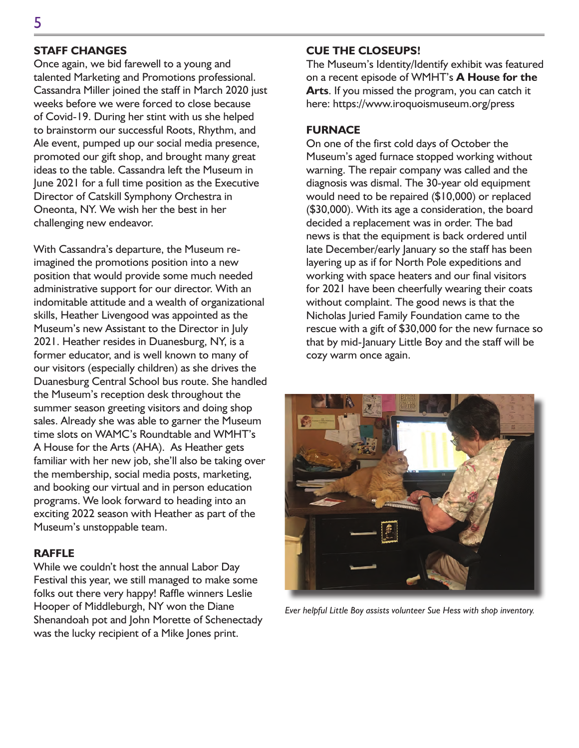## **STAFF CHANGES**

Once again, we bid farewell to a young and talented Marketing and Promotions professional. Cassandra Miller joined the staff in March 2020 just weeks before we were forced to close because of Covid-19. During her stint with us she helped to brainstorm our successful Roots, Rhythm, and Ale event, pumped up our social media presence, promoted our gift shop, and brought many great ideas to the table. Cassandra left the Museum in June 2021 for a full time position as the Executive Director of Catskill Symphony Orchestra in Oneonta, NY. We wish her the best in her challenging new endeavor.

With Cassandra's departure, the Museum reimagined the promotions position into a new position that would provide some much needed administrative support for our director. With an indomitable attitude and a wealth of organizational skills, Heather Livengood was appointed as the Museum's new Assistant to the Director in July 2021. Heather resides in Duanesburg, NY, is a former educator, and is well known to many of our visitors (especially children) as she drives the Duanesburg Central School bus route. She handled the Museum's reception desk throughout the summer season greeting visitors and doing shop sales. Already she was able to garner the Museum time slots on WAMC's Roundtable and WMHT's A House for the Arts (AHA). As Heather gets familiar with her new job, she'll also be taking over the membership, social media posts, marketing, and booking our virtual and in person education programs. We look forward to heading into an exciting 2022 season with Heather as part of the Museum's unstoppable team.

#### **RAFFLE**

While we couldn't host the annual Labor Day Festival this year, we still managed to make some folks out there very happy! Raffle winners Leslie Hooper of Middleburgh, NY won the Diane Shenandoah pot and John Morette of Schenectady was the lucky recipient of a Mike Jones print.

## **CUE THE CLOSEUPS!**

The Museum's Identity/Identify exhibit was featured on a recent episode of WMHT's **A House for the Arts**. If you missed the program, you can catch it here: https://www.iroquoismuseum.org/press

#### **FURNACE**

On one of the first cold days of October the Museum's aged furnace stopped working without warning. The repair company was called and the diagnosis was dismal. The 30-year old equipment would need to be repaired (\$10,000) or replaced (\$30,000). With its age a consideration, the board decided a replacement was in order. The bad news is that the equipment is back ordered until late December/early January so the staff has been layering up as if for North Pole expeditions and working with space heaters and our final visitors for 2021 have been cheerfully wearing their coats without complaint. The good news is that the Nicholas Juried Family Foundation came to the rescue with a gift of \$30,000 for the new furnace so that by mid-January Little Boy and the staff will be cozy warm once again.



*Ever helpful Little Boy assists volunteer Sue Hess with shop inventory.*